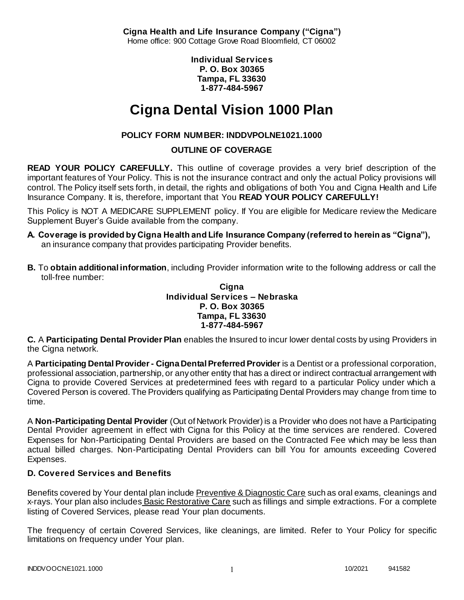**Cigna Health and Life Insurance Company ("Cigna")** Home office: 900 Cottage Grove Road Bloomfield, CT 06002

> **Individual Services P. O. Box 30365 Tampa, FL 33630 1-877-484-5967**

# **Cigna Dental Vision 1000 Plan**

# **POLICY FORM NUMBER: INDDVPOLNE1021.1000**

**OUTLINE OF COVERAGE** 

**READ YOUR POLICY CAREFULLY.** This outline of coverage provides a very brief description of the important features of Your Policy. This is not the insurance contract and only the actual Policy provisions will control. The Policy itself sets forth, in detail, the rights and obligations of both You and Cigna Health and Life Insurance Company. It is, therefore, important that You **READ YOUR POLICY CAREFULLY!** 

This Policy is NOT A MEDICARE SUPPLEMENT policy. If You are eligible for Medicare review the Medicare Supplement Buyer's Guide available from the company.

- **A. Coverage is provided by Cigna Health and Life Insurance Company (referred to herein as "Cigna"),**  an insurance company that provides participating Provider benefits.
- **B.** To **obtain additional information**, including Provider information write to the following address or call the toll-free number:

**Cigna Individual Services – Nebraska P. O. Box 30365 Tampa, FL 33630 1-877-484-5967**

**C.** A **Participating Dental Provider Plan** enables the Insured to incur lower dental costs by using Providers in the Cigna network.

A **Participating Dental Provider - Cigna Dental Preferred Provider** is a Dentist or a professional corporation, professional association, partnership, or any other entity that has a direct or indirect contractual arrangement with Cigna to provide Covered Services at predetermined fees with regard to a particular Policy under which a Covered Person is covered. The Providers qualifying as Participating Dental Providers may change from time to time.

A **Non-Participating Dental Provider** (Out of Network Provider) is a Provider who does not have a Participating Dental Provider agreement in effect with Cigna for this Policy at the time services are rendered. Covered Expenses for Non-Participating Dental Providers are based on the Contracted Fee which may be less than actual billed charges. Non-Participating Dental Providers can bill You for amounts exceeding Covered Expenses.

# **D. Covered Services and Benefits**

Benefits covered by Your dental plan include Preventive & Diagnostic Care such as oral exams, cleanings and x-rays. Your plan also includes Basic Restorative Care such as fillings and simple extractions. For a complete listing of Covered Services, please read Your plan documents.

The frequency of certain Covered Services, like cleanings, are limited. Refer to Your Policy for specific limitations on frequency under Your plan.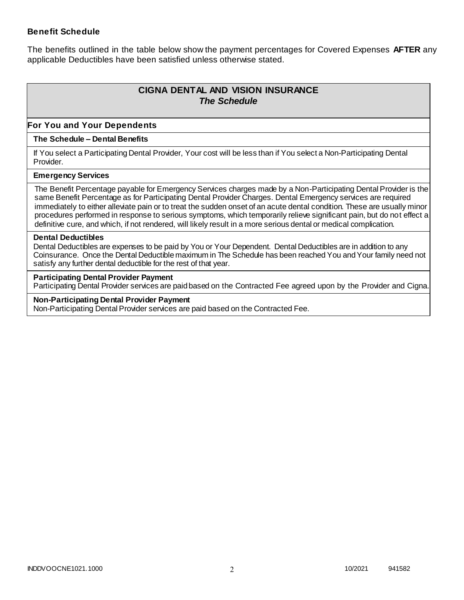### **Benefit Schedule**

The benefits outlined in the table below show the payment percentages for Covered Expenses **AFTER** any applicable Deductibles have been satisfied unless otherwise stated.

# **CIGNA DENTAL AND VISION INSURANCE** *The Schedule*

### **For You and Your Dependents**

#### **The Schedule – Dental Benefits**

If You select a Participating Dental Provider, Your cost will be less than if You select a Non-Participating Dental Provider.

#### **Emergency Services**

The Benefit Percentage payable for Emergency Services charges made by a Non-Participating Dental Provider is the same Benefit Percentage as for Participating Dental Provider Charges. Dental Emergency services are required immediately to either alleviate pain or to treat the sudden onset of an acute dental condition. These are usually minor procedures performed in response to serious symptoms, which temporarily relieve significant pain, but do not effect a definitive cure, and which, if not rendered, will likely result in a more serious dental or medical complication.

#### **Dental Deductibles**

Dental Deductibles are expenses to be paid by You or Your Dependent. Dental Deductibles are in addition to any Coinsurance. Once the Dental Deductible maximum in The Schedule has been reached You and Your family need not satisfy any further dental deductible for the rest of that year.

#### **Participating Dental Provider Payment**

Participating Dental Provider services are paid based on the Contracted Fee agreed upon by the Provider and Cigna.

**Non-Participating Dental Provider Payment** Non-Participating Dental Provider services are paid based on the Contracted Fee.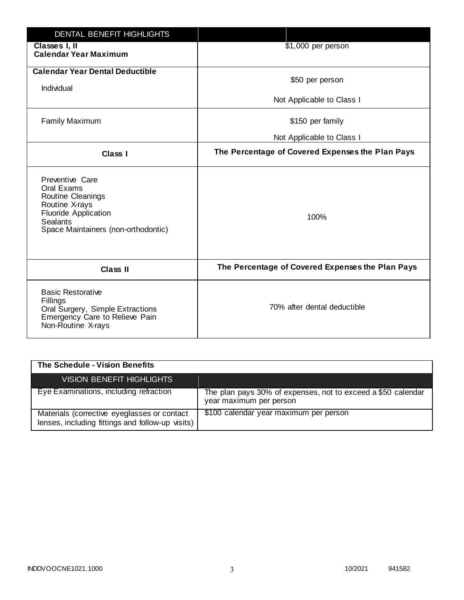| <b>DENTAL BENEFIT HIGHLIGHTS</b>                                                                                                                              |                                                  |
|---------------------------------------------------------------------------------------------------------------------------------------------------------------|--------------------------------------------------|
| Classes I, II<br><b>Calendar Year Maximum</b>                                                                                                                 | \$1,000 per person                               |
| <b>Calendar Year Dental Deductible</b><br>Individual                                                                                                          | \$50 per person                                  |
|                                                                                                                                                               | Not Applicable to Class I                        |
| <b>Family Maximum</b>                                                                                                                                         | \$150 per family                                 |
|                                                                                                                                                               | Not Applicable to Class I                        |
| <b>Class I</b>                                                                                                                                                | The Percentage of Covered Expenses the Plan Pays |
| Preventive Care<br>Oral Exams<br>Routine Cleanings<br>Routine X-rays<br><b>Fluoride Application</b><br><b>Sealants</b><br>Space Maintainers (non-orthodontic) | 100%                                             |
| <b>Class II</b>                                                                                                                                               | The Percentage of Covered Expenses the Plan Pays |
| <b>Basic Restorative</b><br>Fillings<br>Oral Surgery, Simple Extractions<br>Emergency Care to Relieve Pain<br>Non-Routine X-rays                              | 70% after dental deductible                      |

| The Schedule - Vision Benefits                                                                  |                                                                                         |
|-------------------------------------------------------------------------------------------------|-----------------------------------------------------------------------------------------|
| VISION BENEFIT HIGHLIGHTS                                                                       |                                                                                         |
| Eye Examinations, including refraction                                                          | The plan pays 30% of expenses, not to exceed a \$50 calendar<br>year maximum per person |
| Materials (corrective eyeglasses or contact<br>lenses, including fittings and follow-up visits) | \$100 calendar year maximum per person                                                  |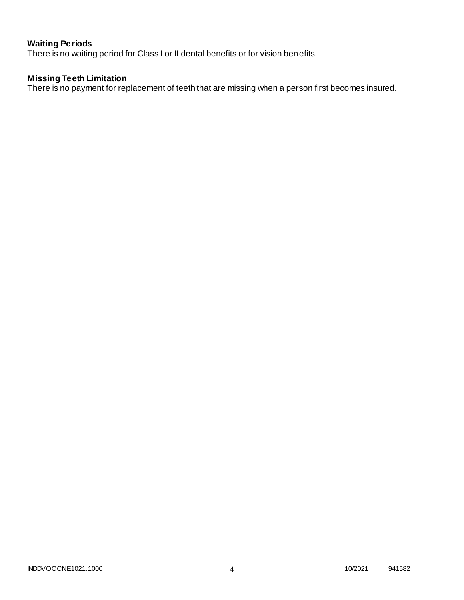# **Waiting Periods**

There is no waiting period for Class I or II dental benefits or for vision benefits.

# **Missing Teeth Limitation**

There is no payment for replacement of teeth that are missing when a person first becomes insured.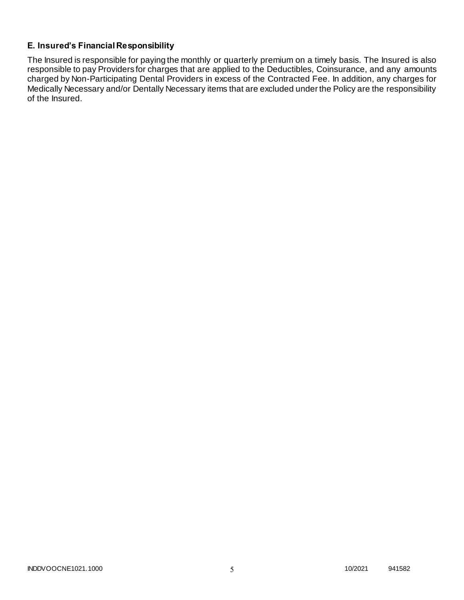# **E. Insured's Financial Responsibility**

The Insured is responsible for paying the monthly or quarterly premium on a timely basis. The Insured is also responsible to pay Providers for charges that are applied to the Deductibles, Coinsurance, and any amounts charged by Non-Participating Dental Providers in excess of the Contracted Fee. In addition, any charges for Medically Necessary and/or Dentally Necessary items that are excluded under the Policy are the responsibility of the Insured.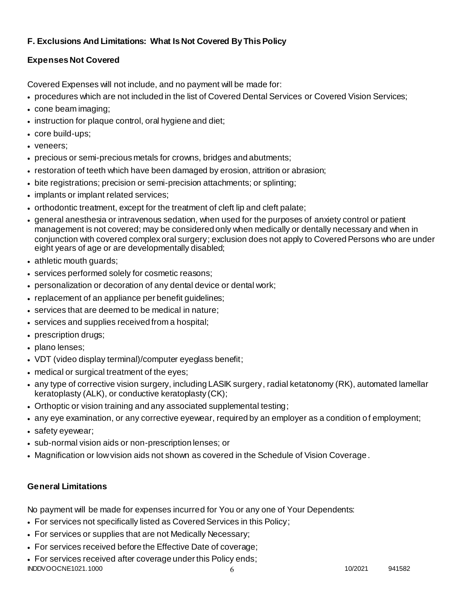# **F. Exclusions And Limitations: What Is Not Covered By This Policy**

# **Expenses Not Covered**

Covered Expenses will not include, and no payment will be made for:

- procedures which are not included in the list of Covered Dental Services or Covered Vision Services;
- cone beam imaging;
- instruction for plaque control, oral hygiene and diet;
- core build-ups;
- veneers;
- precious or semi-precious metals for crowns, bridges and abutments;
- restoration of teeth which have been damaged by erosion, attrition or abrasion;
- bite registrations; precision or semi-precision attachments; or splinting;
- implants or implant related services;
- orthodontic treatment, except for the treatment of cleft lip and cleft palate;
- general anesthesia or intravenous sedation, when used for the purposes of anxiety control or patient management is not covered; may be considered only when medically or dentally necessary and when in conjunction with covered complex oral surgery; exclusion does not apply to Covered Persons who are under eight years of age or are developmentally disabled;
- athletic mouth guards;
- services performed solely for cosmetic reasons;
- personalization or decoration of any dental device or dental work;
- replacement of an appliance per benefit guidelines;
- services that are deemed to be medical in nature;
- services and supplies received from a hospital;
- prescription drugs;
- plano lenses:
- VDT (video display terminal)/computer eyeglass benefit;
- medical or surgical treatment of the eyes;
- any type of corrective vision surgery, including LASIK surgery, radial ketatonomy (RK), automated lamellar keratoplasty (ALK), or conductive keratoplasty (CK);
- Orthoptic or vision training and any associated supplemental testing;
- any eye examination, or any corrective eyewear, required by an employer as a condition of employment;
- safety eyewear;
- sub-normal vision aids or non-prescription lenses; or
- Magnification or low vision aids not shown as covered in the Schedule of Vision Coverage.

# **General Limitations**

No payment will be made for expenses incurred for You or any one of Your Dependents:

- For services not specifically listed as Covered Services in this Policy;
- For services or supplies that are not Medically Necessary;
- For services received before the Effective Date of coverage;
- INDDVOOCNE1021.1000 6 10/2021 941582 For services received after coverage under this Policy ends;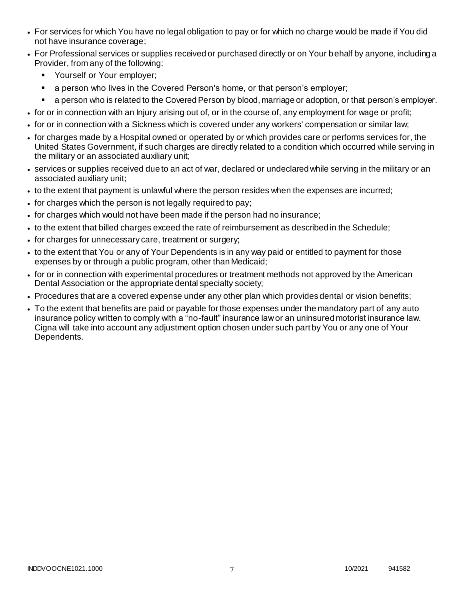- For services for which You have no legal obligation to pay or for which no charge would be made if You did not have insurance coverage;
- For Professional services or supplies received or purchased directly or on Your behalf by anyone, including a Provider, from any of the following:
	- **•** Yourself or Your employer;
	- **a** person who lives in the Covered Person's home, or that person's employer;
	- a person who is related to the Covered Person by blood, marriage or adoption, or that person's employer.
- for or in connection with an Injury arising out of, or in the course of, any employment for wage or profit;
- for or in connection with a Sickness which is covered under any workers' compensation or similar law;
- for charges made by a Hospital owned or operated by or which provides care or performs services for, the United States Government, if such charges are directly related to a condition which occurred while serving in the military or an associated auxiliary unit;
- services or supplies received due to an act of war, declared or undeclared while serving in the military or an associated auxiliary unit;
- to the extent that payment is unlawful where the person resides when the expenses are incurred;
- for charges which the person is not legally required to pay;
- for charges which would not have been made if the person had no insurance;
- to the extent that billed charges exceed the rate of reimbursement as described in the Schedule;
- for charges for unnecessary care, treatment or surgery;
- to the extent that You or any of Your Dependents is in any way paid or entitled to payment for those expenses by or through a public program, other than Medicaid;
- for or in connection with experimental procedures or treatment methods not approved by the American Dental Association or the appropriate dental specialty society;
- Procedures that are a covered expense under any other plan which provides dental or vision benefits;
- To the extent that benefits are paid or payable for those expenses under the mandatory part of any auto insurance policy written to comply with a "no-fault" insurance law or an uninsured motorist insurance law. Cigna will take into account any adjustment option chosen under such part by You or any one of Your Dependents.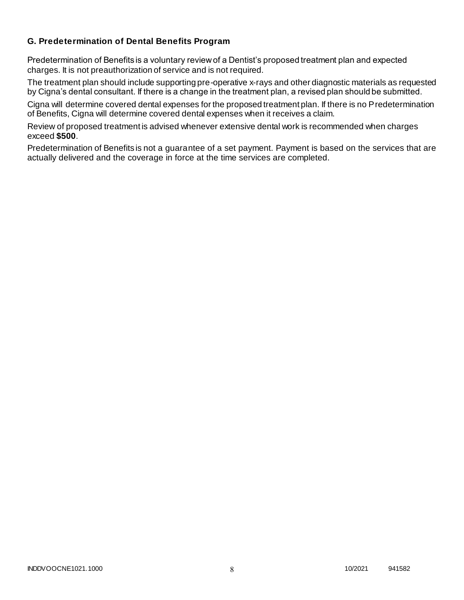# **G. Predetermination of Dental Benefits Program**

Predetermination of Benefits is a voluntary review of a Dentist's proposed treatment plan and expected charges. It is not preauthorization of service and is not required.

The treatment plan should include supporting pre-operative x-rays and other diagnostic materials as requested by Cigna's dental consultant. If there is a change in the treatment plan, a revised plan should be submitted.

Cigna will determine covered dental expenses for the proposed treatment plan. If there is no Predetermination of Benefits, Cigna will determine covered dental expenses when it receives a claim.

Review of proposed treatment is advised whenever extensive dental work is recommended when charges exceed **\$500**.

Predetermination of Benefits is not a guarantee of a set payment. Payment is based on the services that are actually delivered and the coverage in force at the time services are completed.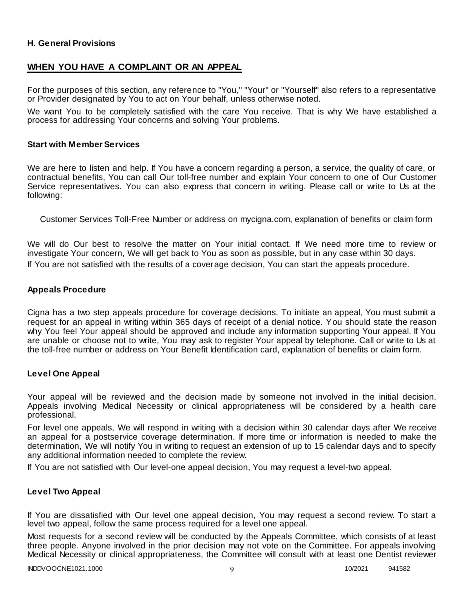### **H. General Provisions**

# **WHEN YOU HAVE A COMPLAINT OR AN APPEAL**

For the purposes of this section, any reference to "You," "Your" or "Yourself" also refers to a representative or Provider designated by You to act on Your behalf, unless otherwise noted.

We want You to be completely satisfied with the care You receive. That is why We have established a process for addressing Your concerns and solving Your problems.

#### **Start with Member Services**

We are here to listen and help. If You have a concern regarding a person, a service, the quality of care, or contractual benefits, You can call Our toll-free number and explain Your concern to one of Our Customer Service representatives. You can also express that concern in writing. Please call or write to Us at the following:

Customer Services Toll-Free Number or address on mycigna.com, explanation of benefits or claim form

We will do Our best to resolve the matter on Your initial contact. If We need more time to review or investigate Your concern, We will get back to You as soon as possible, but in any case within 30 days. If You are not satisfied with the results of a coverage decision, You can start the appeals procedure.

#### **Appeals Procedure**

Cigna has a two step appeals procedure for coverage decisions. To initiate an appeal, You must submit a request for an appeal in writing within 365 days of receipt of a denial notice. You should state the reason why You feel Your appeal should be approved and include any information supporting Your appeal. If You are unable or choose not to write, You may ask to register Your appeal by telephone. Call or write to Us at the toll-free number or address on Your Benefit Identification card, explanation of benefits or claim form.

#### **Level One Appeal**

Your appeal will be reviewed and the decision made by someone not involved in the initial decision. Appeals involving Medical Necessity or clinical appropriateness will be considered by a health care professional.

For level one appeals, We will respond in writing with a decision within 30 calendar days after We receive an appeal for a postservice coverage determination. If more time or information is needed to make the determination, We will notify You in writing to request an extension of up to 15 calendar days and to specify any additional information needed to complete the review.

If You are not satisfied with Our level-one appeal decision, You may request a level-two appeal.

### **Level Two Appeal**

If You are dissatisfied with Our level one appeal decision, You may request a second review. To start a level two appeal, follow the same process required for a level one appeal.

Most requests for a second review will be conducted by the Appeals Committee, which consists of at least three people. Anyone involved in the prior decision may not vote on the Committee. For appeals involving Medical Necessity or clinical appropriateness, the Committee will consult with at least one Dentist reviewer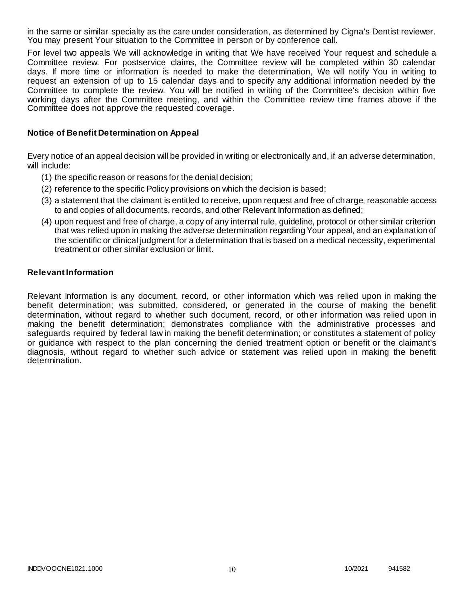in the same or similar specialty as the care under consideration, as determined by Cigna's Dentist reviewer. You may present Your situation to the Committee in person or by conference call.

For level two appeals We will acknowledge in writing that We have received Your request and schedule a Committee review. For postservice claims, the Committee review will be completed within 30 calendar days. If more time or information is needed to make the determination, We will notify You in writing to request an extension of up to 15 calendar days and to specify any additional information needed by the Committee to complete the review. You will be notified in writing of the Committee's decision within five working days after the Committee meeting, and within the Committee review time frames above if the Committee does not approve the requested coverage.

### **Notice of Benefit Determination on Appeal**

Every notice of an appeal decision will be provided in writing or electronically and, if an adverse determination, will include:

- (1) the specific reason or reasons for the denial decision;
- (2) reference to the specific Policy provisions on which the decision is based;
- (3) a statement that the claimant is entitled to receive, upon request and free of charge, reasonable access to and copies of all documents, records, and other Relevant Information as defined;
- (4) upon request and free of charge, a copy of any internal rule, guideline, protocol or other similar criterion that was relied upon in making the adverse determination regarding Your appeal, and an explanation of the scientific or clinical judgment for a determination that is based on a medical necessity, experimental treatment or other similar exclusion or limit.

### **Relevant Information**

Relevant Information is any document, record, or other information which was relied upon in making the benefit determination; was submitted, considered, or generated in the course of making the benefit determination, without regard to whether such document, record, or other information was relied upon in making the benefit determination; demonstrates compliance with the administrative processes and safeguards required by federal law in making the benefit determination; or constitutes a statement of policy or guidance with respect to the plan concerning the denied treatment option or benefit or the claimant's diagnosis, without regard to whether such advice or statement was relied upon in making the benefit determination.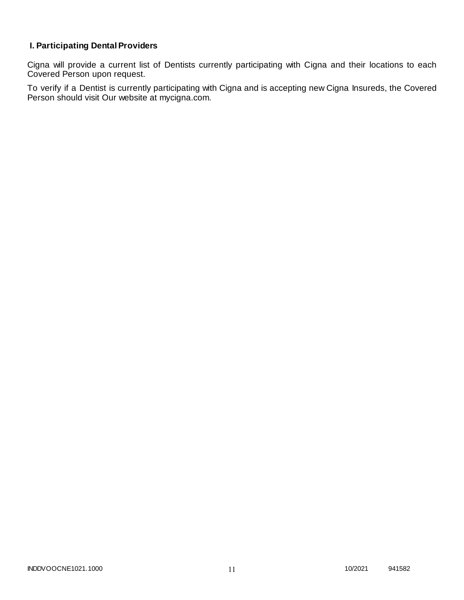# **I. Participating Dental Providers**

Cigna will provide a current list of Dentists currently participating with Cigna and their locations to each Covered Person upon request.

To verify if a Dentist is currently participating with Cigna and is accepting new Cigna Insureds, the Covered Person should visit Our website at mycigna.com.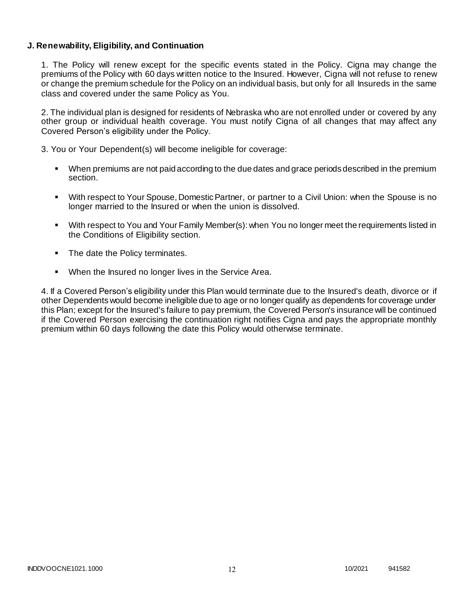### **J. Renewability, Eligibility, and Continuation**

1. The Policy will renew except for the specific events stated in the Policy. Cigna may change the premiums of the Policy with 60 days written notice to the Insured. However, Cigna will not refuse to renew or change the premium schedule for the Policy on an individual basis, but only for all Insureds in the same class and covered under the same Policy as You.

2. The individual plan is designed for residents of Nebraska who are not enrolled under or covered by any other group or individual health coverage. You must notify Cigna of all changes that may affect any Covered Person's eligibility under the Policy.

3. You or Your Dependent(s) will become ineligible for coverage:

- When premiums are not paid according to the due dates and grace periods described in the premium section.
- With respect to Your Spouse, Domestic Partner, or partner to a Civil Union: when the Spouse is no longer married to the Insured or when the union is dissolved.
- With respect to You and Your Family Member(s): when You no longer meet the requirements listed in the Conditions of Eligibility section.
- The date the Policy terminates.
- When the Insured no longer lives in the Service Area.

4. If a Covered Person's eligibility under this Plan would terminate due to the Insured's death, divorce or if other Dependents would become ineligible due to age or no longer qualify as dependents for coverage under this Plan; except for the Insured's failure to pay premium, the Covered Person's insurance will be continued if the Covered Person exercising the continuation right notifies Cigna and pays the appropriate monthly premium within 60 days following the date this Policy would otherwise terminate.